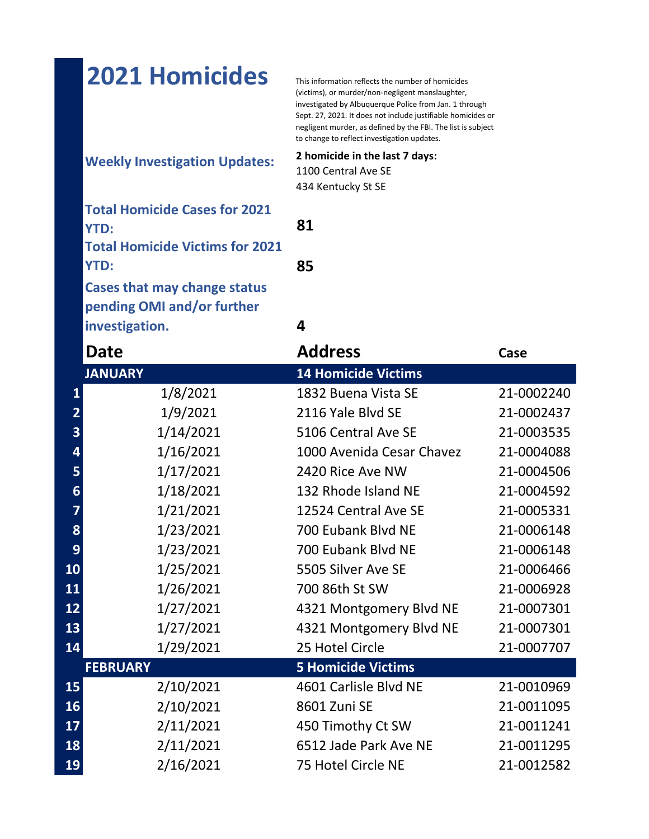## 2021 Homicides This information reflects the number of homicides

(victims), or murder/non-negligent manslaughter, investigated by Albuquerque Police from Jan. 1 through Sept. 27, 2021. It does not include justifiable homicides or negligent murder, as defined by the FBI. The list is subject to change to reflect investigation updates.

## **Weekly Investigation Updates: 2 homicide in the last 7 days:**

1100 Central Ave SE 434 Kentucky St SE

| <b>Total Homicide Cases for 2021</b>   |    |
|----------------------------------------|----|
| <b>YTD:</b>                            | 81 |
| <b>Total Homicide Victims for 2021</b> |    |
| <b>YTD:</b>                            | 85 |
| <b>Cases that may change status</b>    |    |
| pending OMI and/or further             |    |
| investigation.                         |    |

|                | Date            | <b>Address</b>             | Case       |
|----------------|-----------------|----------------------------|------------|
|                | <b>JANUARY</b>  | <b>14 Homicide Victims</b> |            |
| 1              | 1/8/2021        | 1832 Buena Vista SE        | 21-0002240 |
| $\overline{2}$ | 1/9/2021        | 2116 Yale Blvd SE          | 21-0002437 |
| 3              | 1/14/2021       | 5106 Central Ave SE        | 21-0003535 |
| 4              | 1/16/2021       | 1000 Avenida Cesar Chavez  | 21-0004088 |
| 5              | 1/17/2021       | 2420 Rice Ave NW           | 21-0004506 |
| 6              | 1/18/2021       | 132 Rhode Island NE        | 21-0004592 |
|                | 1/21/2021       | 12524 Central Ave SE       | 21-0005331 |
| 8              | 1/23/2021       | 700 Eubank Blvd NE         | 21-0006148 |
| 9              | 1/23/2021       | 700 Eubank Blvd NE         | 21-0006148 |
| 10             | 1/25/2021       | 5505 Silver Ave SE         | 21-0006466 |
| 11             | 1/26/2021       | 700 86th St SW             | 21-0006928 |
| 12             | 1/27/2021       | 4321 Montgomery Blvd NE    | 21-0007301 |
| 13             | 1/27/2021       | 4321 Montgomery Blvd NE    | 21-0007301 |
| 14             | 1/29/2021       | 25 Hotel Circle            | 21-0007707 |
|                | <b>FEBRUARY</b> | <b>5 Homicide Victims</b>  |            |
| 15             | 2/10/2021       | 4601 Carlisle Blvd NE      | 21-0010969 |
| 16             | 2/10/2021       | 8601 Zuni SE               | 21-0011095 |
| 17             | 2/11/2021       | 450 Timothy Ct SW          | 21-0011241 |
| 18             | 2/11/2021       | 6512 Jade Park Ave NE      | 21-0011295 |
| 19             | 2/16/2021       | 75 Hotel Circle NE         | 21-0012582 |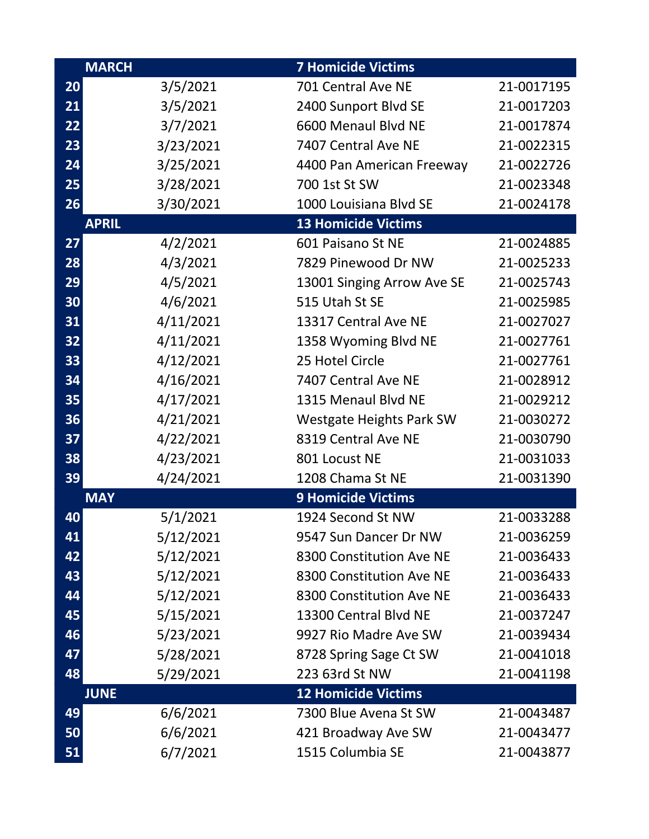|    | <b>MARCH</b> | <b>7 Homicide Victims</b>       |            |
|----|--------------|---------------------------------|------------|
| 20 | 3/5/2021     | 701 Central Ave NE              | 21-0017195 |
| 21 | 3/5/2021     | 2400 Sunport Blvd SE            | 21-0017203 |
| 22 | 3/7/2021     | 6600 Menaul Blvd NE             | 21-0017874 |
| 23 | 3/23/2021    | 7407 Central Ave NE             | 21-0022315 |
| 24 | 3/25/2021    | 4400 Pan American Freeway       | 21-0022726 |
| 25 | 3/28/2021    | 700 1st St SW                   | 21-0023348 |
| 26 | 3/30/2021    | 1000 Louisiana Blvd SE          | 21-0024178 |
|    | <b>APRIL</b> | <b>13 Homicide Victims</b>      |            |
| 27 | 4/2/2021     | 601 Paisano St NE               | 21-0024885 |
| 28 | 4/3/2021     | 7829 Pinewood Dr NW             | 21-0025233 |
| 29 | 4/5/2021     | 13001 Singing Arrow Ave SE      | 21-0025743 |
| 30 | 4/6/2021     | 515 Utah St SE                  | 21-0025985 |
| 31 | 4/11/2021    | 13317 Central Ave NE            | 21-0027027 |
| 32 | 4/11/2021    | 1358 Wyoming Blvd NE            | 21-0027761 |
| 33 | 4/12/2021    | 25 Hotel Circle                 | 21-0027761 |
| 34 | 4/16/2021    | 7407 Central Ave NE             | 21-0028912 |
| 35 | 4/17/2021    | 1315 Menaul Blvd NE             | 21-0029212 |
| 36 | 4/21/2021    | <b>Westgate Heights Park SW</b> | 21-0030272 |
| 37 | 4/22/2021    | 8319 Central Ave NE             | 21-0030790 |
| 38 | 4/23/2021    | 801 Locust NE                   | 21-0031033 |
| 39 | 4/24/2021    | 1208 Chama St NE                | 21-0031390 |
|    | <b>MAY</b>   | <b>9 Homicide Victims</b>       |            |
| 40 | 5/1/2021     | 1924 Second St NW               | 21-0033288 |
| 41 | 5/12/2021    | 9547 Sun Dancer Dr NW           | 21-0036259 |
| 42 | 5/12/2021    | 8300 Constitution Ave NE        | 21-0036433 |
| 43 | 5/12/2021    | 8300 Constitution Ave NE        | 21-0036433 |
| 44 | 5/12/2021    | 8300 Constitution Ave NE        | 21-0036433 |
| 45 | 5/15/2021    | 13300 Central Blvd NE           | 21-0037247 |
| 46 | 5/23/2021    | 9927 Rio Madre Ave SW           | 21-0039434 |
| 47 | 5/28/2021    | 8728 Spring Sage Ct SW          | 21-0041018 |
| 48 | 5/29/2021    | 223 63rd St NW                  | 21-0041198 |
|    | <b>JUNE</b>  | <b>12 Homicide Victims</b>      |            |
| 49 | 6/6/2021     | 7300 Blue Avena St SW           | 21-0043487 |
| 50 | 6/6/2021     | 421 Broadway Ave SW             | 21-0043477 |
| 51 | 6/7/2021     | 1515 Columbia SE                | 21-0043877 |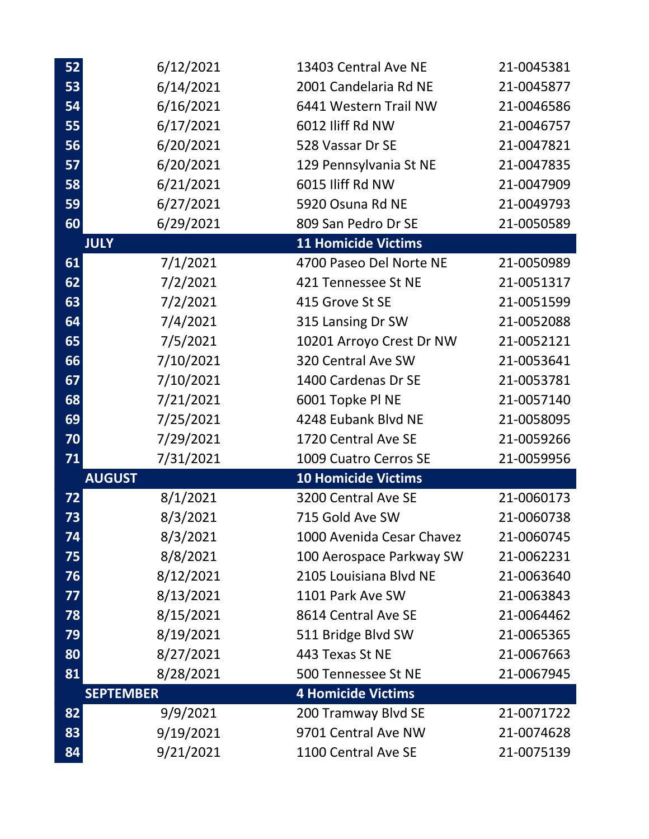| 52 | 6/12/2021        | 13403 Central Ave NE                       | 21-0045381 |
|----|------------------|--------------------------------------------|------------|
| 53 | 6/14/2021        | 2001 Candelaria Rd NE                      | 21-0045877 |
| 54 | 6/16/2021        | 6441 Western Trail NW                      | 21-0046586 |
| 55 | 6/17/2021        | 6012 Iliff Rd NW                           | 21-0046757 |
| 56 | 6/20/2021        | 528 Vassar Dr SE                           | 21-0047821 |
| 57 | 6/20/2021        | 129 Pennsylvania St NE                     | 21-0047835 |
| 58 | 6/21/2021        | 6015 Iliff Rd NW                           | 21-0047909 |
| 59 | 6/27/2021        | 5920 Osuna Rd NE                           | 21-0049793 |
| 60 | 6/29/2021        | 809 San Pedro Dr SE                        | 21-0050589 |
|    | <b>JULY</b>      | <b>11 Homicide Victims</b>                 |            |
| 61 | 7/1/2021         | 4700 Paseo Del Norte NE                    | 21-0050989 |
| 62 | 7/2/2021         | 421 Tennessee St NE                        | 21-0051317 |
| 63 | 7/2/2021         | 415 Grove St SE                            | 21-0051599 |
| 64 | 7/4/2021         | 315 Lansing Dr SW                          | 21-0052088 |
| 65 | 7/5/2021         | 10201 Arroyo Crest Dr NW                   | 21-0052121 |
| 66 | 7/10/2021        | 320 Central Ave SW                         | 21-0053641 |
| 67 | 7/10/2021        | 1400 Cardenas Dr SE                        | 21-0053781 |
| 68 | 7/21/2021        | 6001 Topke Pl NE                           | 21-0057140 |
| 69 | 7/25/2021        | 4248 Eubank Blvd NE                        | 21-0058095 |
| 70 | 7/29/2021        | 1720 Central Ave SE                        | 21-0059266 |
| 71 | 7/31/2021        | 1009 Cuatro Cerros SE                      | 21-0059956 |
|    | <b>AUGUST</b>    | <b>10 Homicide Victims</b>                 |            |
| 72 | 8/1/2021         | 3200 Central Ave SE                        | 21-0060173 |
| 73 | 8/3/2021         | 715 Gold Ave SW                            | 21-0060738 |
| 74 | 8/3/2021         | 1000 Avenida Cesar Chavez                  | 21-0060745 |
| 75 | 8/8/2021         | 100 Aerospace Parkway SW                   | 21-0062231 |
| 76 | 8/12/2021        | 2105 Louisiana Blvd NE                     | 21-0063640 |
| 77 | 8/13/2021        | 1101 Park Ave SW                           | 21-0063843 |
| 78 | 8/15/2021        | 8614 Central Ave SE                        | 21-0064462 |
| 79 | 8/19/2021        | 511 Bridge Blvd SW                         | 21-0065365 |
| 80 | 8/27/2021        | 443 Texas St NE                            | 21-0067663 |
| 81 | 8/28/2021        | 500 Tennessee St NE                        | 21-0067945 |
|    | <b>SEPTEMBER</b> | <b>4 Homicide Victims</b>                  |            |
| 82 | 9/9/2021         | 200 Tramway Blvd SE                        | 21-0071722 |
|    |                  |                                            |            |
| 83 | 9/19/2021        | 9701 Central Ave NW<br>1100 Central Ave SE | 21-0074628 |